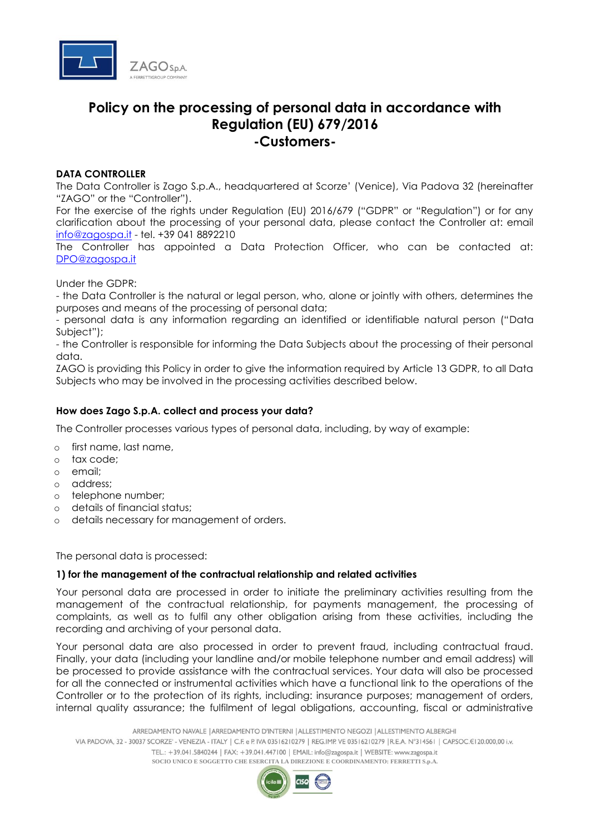

# **Policy on the processing of personal data in accordance with Regulation (EU) 679/2016 -Customers-**

# **DATA CONTROLLER**

The Data Controller is Zago S.p.A., headquartered at Scorze' (Venice), Via Padova 32 (hereinafter "ZAGO" or the "Controller").

For the exercise of the rights under Regulation (EU) 2016/679 ("GDPR" or "Regulation") or for any clarification about the processing of your personal data, please contact the Controller at: email [info@zagospa.it](mailto:info@zagospa.it) - tel. +39 041 8892210

The Controller has appointed a Data Protection Officer, who can be contacted at: [DPO@zagospa.it](mailto:DPO@zagospa.it)

Under the GDPR:

- the Data Controller is the natural or legal person, who, alone or jointly with others, determines the purposes and means of the processing of personal data;

- personal data is any information regarding an identified or identifiable natural person ("Data Subject");

- the Controller is responsible for informing the Data Subjects about the processing of their personal data.

ZAGO is providing this Policy in order to give the information required by Article 13 GDPR, to all Data Subjects who may be involved in the processing activities described below.

## **How does Zago S.p.A. collect and process your data?**

The Controller processes various types of personal data, including, by way of example:

- o first name, last name,
- o tax code;
- o email;
- o address;
- o telephone number;
- o details of financial status;
- o details necessary for management of orders.

The personal data is processed:

## **1) for the management of the contractual relationship and related activities**

Your personal data are processed in order to initiate the preliminary activities resulting from the management of the contractual relationship, for payments management, the processing of complaints, as well as to fulfil any other obligation arising from these activities, including the recording and archiving of your personal data.

Your personal data are also processed in order to prevent fraud, including contractual fraud. Finally, your data (including your landline and/or mobile telephone number and email address) will be processed to provide assistance with the contractual services. Your data will also be processed for all the connected or instrumental activities which have a functional link to the operations of the Controller or to the protection of its rights, including: insurance purposes; management of orders, internal quality assurance; the fulfilment of legal obligations, accounting, fiscal or administrative

ARREDAMENTO NAVALE | ARREDAMENTO D'INTERNI | ALLESTIMENTO NEGOZI | ALLESTIMENTO ALBERGHI VIA PADOVA, 32 - 30037 SCORZE' - VENEZIA - ITALY | C.F. e P. IVA 03516210279 | REG.IMP. VE 03516210279 | R.E.A. N°314561 | CAPSOC.E120.000,00 i.v. TEL.: +39.041.5840244 | FAX: +39.041.447100 | EMAIL: info@zagospa.it | WEBSITE: www.zagospa.it **SOCIO UNICO E SOGGETTO CHE ESERCITA LA DIREZIONE E COORDINAMENTO: FERRETTI S.p.A.**

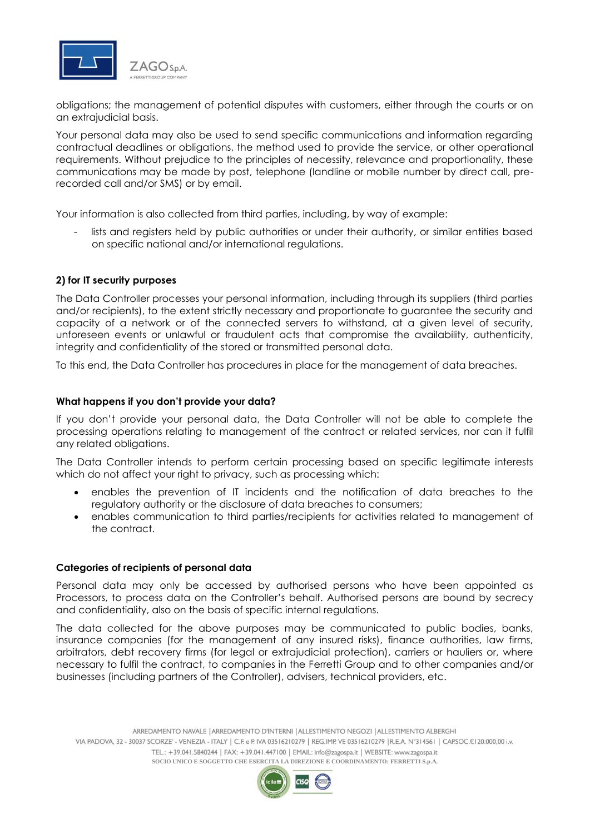

obligations; the management of potential disputes with customers, either through the courts or on an extrajudicial basis.

Your personal data may also be used to send specific communications and information regarding contractual deadlines or obligations, the method used to provide the service, or other operational requirements. Without prejudice to the principles of necessity, relevance and proportionality, these communications may be made by post, telephone (landline or mobile number by direct call, prerecorded call and/or SMS) or by email.

Your information is also collected from third parties, including, by way of example:

lists and registers held by public authorities or under their authority, or similar entities based on specific national and/or international regulations.

## **2) for IT security purposes**

The Data Controller processes your personal information, including through its suppliers (third parties and/or recipients), to the extent strictly necessary and proportionate to guarantee the security and capacity of a network or of the connected servers to withstand, at a given level of security, unforeseen events or unlawful or fraudulent acts that compromise the availability, authenticity, integrity and confidentiality of the stored or transmitted personal data.

To this end, the Data Controller has procedures in place for the management of data breaches.

## **What happens if you don't provide your data?**

If you don't provide your personal data, the Data Controller will not be able to complete the processing operations relating to management of the contract or related services, nor can it fulfil any related obligations.

The Data Controller intends to perform certain processing based on specific legitimate interests which do not affect your right to privacy, such as processing which:

- enables the prevention of IT incidents and the notification of data breaches to the regulatory authority or the disclosure of data breaches to consumers;
- enables communication to third parties/recipients for activities related to management of the contract.

#### **Categories of recipients of personal data**

Personal data may only be accessed by authorised persons who have been appointed as Processors, to process data on the Controller's behalf. Authorised persons are bound by secrecy and confidentiality, also on the basis of specific internal regulations.

The data collected for the above purposes may be communicated to public bodies, banks, insurance companies (for the management of any insured risks), finance authorities, law firms, arbitrators, debt recovery firms (for legal or extrajudicial protection), carriers or hauliers or, where necessary to fulfil the contract, to companies in the Ferretti Group and to other companies and/or businesses (including partners of the Controller), advisers, technical providers, etc.

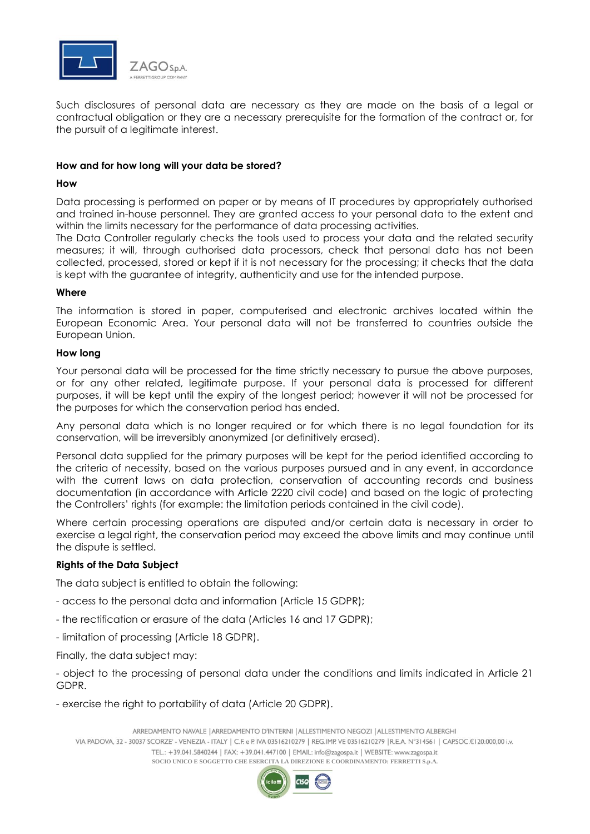

Such disclosures of personal data are necessary as they are made on the basis of a legal or contractual obligation or they are a necessary prerequisite for the formation of the contract or, for the pursuit of a legitimate interest.

# **How and for how long will your data be stored?**

## **How**

Data processing is performed on paper or by means of IT procedures by appropriately authorised and trained in-house personnel. They are granted access to your personal data to the extent and within the limits necessary for the performance of data processing activities.

The Data Controller regularly checks the tools used to process your data and the related security measures; it will, through authorised data processors, check that personal data has not been collected, processed, stored or kept if it is not necessary for the processing; it checks that the data is kept with the guarantee of integrity, authenticity and use for the intended purpose.

## **Where**

The information is stored in paper, computerised and electronic archives located within the European Economic Area. Your personal data will not be transferred to countries outside the European Union.

## **How long**

Your personal data will be processed for the time strictly necessary to pursue the above purposes, or for any other related, legitimate purpose. If your personal data is processed for different purposes, it will be kept until the expiry of the longest period; however it will not be processed for the purposes for which the conservation period has ended.

Any personal data which is no longer required or for which there is no legal foundation for its conservation, will be irreversibly anonymized (or definitively erased).

Personal data supplied for the primary purposes will be kept for the period identified according to the criteria of necessity, based on the various purposes pursued and in any event, in accordance with the current laws on data protection, conservation of accounting records and business documentation (in accordance with Article 2220 civil code) and based on the logic of protecting the Controllers' rights (for example: the limitation periods contained in the civil code).

Where certain processing operations are disputed and/or certain data is necessary in order to exercise a legal right, the conservation period may exceed the above limits and may continue until the dispute is settled.

## **Rights of the Data Subject**

The data subject is entitled to obtain the following:

- access to the personal data and information (Article 15 GDPR);
- the rectification or erasure of the data (Articles 16 and 17 GDPR);
- limitation of processing (Article 18 GDPR).

Finally, the data subject may:

- object to the processing of personal data under the conditions and limits indicated in Article 21 GDPR.

- exercise the right to portability of data (Article 20 GDPR).

ARREDAMENTO NAVALE | ARREDAMENTO D'INTERNI | ALLESTIMENTO NEGOZI | ALLESTIMENTO ALBERGHI VIA PADOVA, 32 - 30037 SCORZE' - VENEZIA - ITALY | C.F. e P. IVA 03516210279 | REG.IMP. VE 03516210279 | R.E.A. N°314561 | CAPSOC.E120.000,00 i.v. TEL.: +39.041.5840244 | FAX: +39.041.447100 | EMAIL: info@zagospa.it | WEBSITE: www.zagospa.it **SOCIO UNICO E SOGGETTO CHE ESERCITA LA DIREZIONE E COORDINAMENTO: FERRETTI S.p.A.**